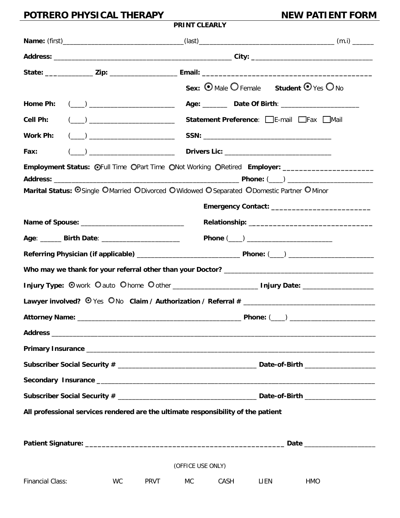## **POTRERO PHYSICAL THERAPY NEW PATIENT FORM**

**PRINT CLEARLY**

|                                                                                                                                                                                                                                                                                                                                                                 | <b>Sex:</b> $\odot$ Male $\odot$ Female <b>Student</b> $\odot$ Yes $\odot$ No                                                                                                                                                                                                                                                                                      |  |  |  |  |  |  |
|-----------------------------------------------------------------------------------------------------------------------------------------------------------------------------------------------------------------------------------------------------------------------------------------------------------------------------------------------------------------|--------------------------------------------------------------------------------------------------------------------------------------------------------------------------------------------------------------------------------------------------------------------------------------------------------------------------------------------------------------------|--|--|--|--|--|--|
| Home Ph:<br>$\begin{picture}(20,10) \put(0,0){\line(1,0){10}} \put(15,0){\line(1,0){10}} \put(15,0){\line(1,0){10}} \put(15,0){\line(1,0){10}} \put(15,0){\line(1,0){10}} \put(15,0){\line(1,0){10}} \put(15,0){\line(1,0){10}} \put(15,0){\line(1,0){10}} \put(15,0){\line(1,0){10}} \put(15,0){\line(1,0){10}} \put(15,0){\line(1,0){10}} \put(15,0){\line(1$ |                                                                                                                                                                                                                                                                                                                                                                    |  |  |  |  |  |  |
| $\qquad \qquad \Box$<br>Cell Ph:                                                                                                                                                                                                                                                                                                                                | Statement Preference: E-mail EFax Mail                                                                                                                                                                                                                                                                                                                             |  |  |  |  |  |  |
| Work Ph:                                                                                                                                                                                                                                                                                                                                                        |                                                                                                                                                                                                                                                                                                                                                                    |  |  |  |  |  |  |
| Fax:                                                                                                                                                                                                                                                                                                                                                            | $\begin{picture}(180,10) \put(0,0){\vector(1,0){100}} \put(15,0){\vector(1,0){100}} \put(15,0){\vector(1,0){100}} \put(15,0){\vector(1,0){100}} \put(15,0){\vector(1,0){100}} \put(15,0){\vector(1,0){100}} \put(15,0){\vector(1,0){100}} \put(15,0){\vector(1,0){100}} \put(15,0){\vector(1,0){100}} \put(15,0){\vector(1,0){100}} \put(15,0){\vector(1,0){100}}$ |  |  |  |  |  |  |
| Employment Status: OFull Time OPart Time ONot Working ORetired Employer: __________________________                                                                                                                                                                                                                                                             |                                                                                                                                                                                                                                                                                                                                                                    |  |  |  |  |  |  |
| Marital Status: OSingle OMarried ODivorced OWidowed OSeparated ODomestic Partner OMinor                                                                                                                                                                                                                                                                         |                                                                                                                                                                                                                                                                                                                                                                    |  |  |  |  |  |  |
|                                                                                                                                                                                                                                                                                                                                                                 |                                                                                                                                                                                                                                                                                                                                                                    |  |  |  |  |  |  |
|                                                                                                                                                                                                                                                                                                                                                                 |                                                                                                                                                                                                                                                                                                                                                                    |  |  |  |  |  |  |
| Age: _______ Birth Date: _______________________                                                                                                                                                                                                                                                                                                                |                                                                                                                                                                                                                                                                                                                                                                    |  |  |  |  |  |  |
|                                                                                                                                                                                                                                                                                                                                                                 |                                                                                                                                                                                                                                                                                                                                                                    |  |  |  |  |  |  |
|                                                                                                                                                                                                                                                                                                                                                                 |                                                                                                                                                                                                                                                                                                                                                                    |  |  |  |  |  |  |
| Injury Type: Owork Oauto Ohome Oother __________________________ Injury Date: _____________________                                                                                                                                                                                                                                                             |                                                                                                                                                                                                                                                                                                                                                                    |  |  |  |  |  |  |
|                                                                                                                                                                                                                                                                                                                                                                 |                                                                                                                                                                                                                                                                                                                                                                    |  |  |  |  |  |  |
|                                                                                                                                                                                                                                                                                                                                                                 |                                                                                                                                                                                                                                                                                                                                                                    |  |  |  |  |  |  |
|                                                                                                                                                                                                                                                                                                                                                                 |                                                                                                                                                                                                                                                                                                                                                                    |  |  |  |  |  |  |
|                                                                                                                                                                                                                                                                                                                                                                 |                                                                                                                                                                                                                                                                                                                                                                    |  |  |  |  |  |  |
|                                                                                                                                                                                                                                                                                                                                                                 |                                                                                                                                                                                                                                                                                                                                                                    |  |  |  |  |  |  |
|                                                                                                                                                                                                                                                                                                                                                                 |                                                                                                                                                                                                                                                                                                                                                                    |  |  |  |  |  |  |
|                                                                                                                                                                                                                                                                                                                                                                 |                                                                                                                                                                                                                                                                                                                                                                    |  |  |  |  |  |  |
| All professional services rendered are the ultimate responsibility of the patient                                                                                                                                                                                                                                                                               |                                                                                                                                                                                                                                                                                                                                                                    |  |  |  |  |  |  |
|                                                                                                                                                                                                                                                                                                                                                                 |                                                                                                                                                                                                                                                                                                                                                                    |  |  |  |  |  |  |
|                                                                                                                                                                                                                                                                                                                                                                 |                                                                                                                                                                                                                                                                                                                                                                    |  |  |  |  |  |  |
| (OFFICE USE ONLY)                                                                                                                                                                                                                                                                                                                                               |                                                                                                                                                                                                                                                                                                                                                                    |  |  |  |  |  |  |
| <b>Financial Class:</b><br>MC<br>WC<br><b>PRVT</b>                                                                                                                                                                                                                                                                                                              | CASH<br>LIEN<br><b>HMO</b>                                                                                                                                                                                                                                                                                                                                         |  |  |  |  |  |  |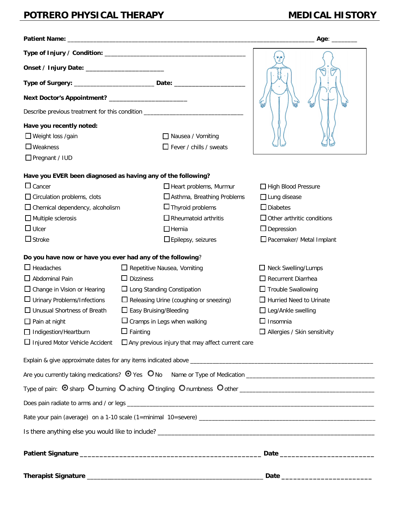# **POTRERO PHYSICAL THERAPY MEDICAL HISTORY**

|                                                                                  |                                                                                                                | Age: _______                        |  |  |  |  |  |  |
|----------------------------------------------------------------------------------|----------------------------------------------------------------------------------------------------------------|-------------------------------------|--|--|--|--|--|--|
|                                                                                  |                                                                                                                |                                     |  |  |  |  |  |  |
|                                                                                  |                                                                                                                |                                     |  |  |  |  |  |  |
| Type of Surgery: _________________________________ Date: _______________________ |                                                                                                                |                                     |  |  |  |  |  |  |
|                                                                                  | Tu<br>Ĩŵ                                                                                                       |                                     |  |  |  |  |  |  |
| Describe previous treatment for this condition _________________________________ |                                                                                                                |                                     |  |  |  |  |  |  |
| Have you recently noted:                                                         |                                                                                                                |                                     |  |  |  |  |  |  |
| $\Box$ Weight loss /gain                                                         | □ Nausea / Vomiting                                                                                            |                                     |  |  |  |  |  |  |
| $\Box$ Weakness                                                                  | $\Box$ Fever / chills / sweats                                                                                 |                                     |  |  |  |  |  |  |
| $\Box$ Pregnant / IUD                                                            |                                                                                                                |                                     |  |  |  |  |  |  |
| Have you EVER been diagnosed as having any of the following?                     |                                                                                                                |                                     |  |  |  |  |  |  |
| $\Box$ Cancer                                                                    | $\Box$ Heart problems, Murmur                                                                                  | High Blood Pressure                 |  |  |  |  |  |  |
| $\Box$ Circulation problems, clots                                               | $\Box$ Asthma, Breathing Problems                                                                              | $\Box$ Lung disease                 |  |  |  |  |  |  |
| $\Box$ Chemical dependency, alcoholism                                           | $\Box$ Thyroid problems                                                                                        | $\square$ Diabetes                  |  |  |  |  |  |  |
| $\Box$ Multiple sclerosis                                                        | $\Box$ Rheumatoid arthritis                                                                                    | $\Box$ Other arthritic conditions   |  |  |  |  |  |  |
| $\Box$ Ulcer                                                                     | $\Box$ Hernia                                                                                                  | $\Box$ Depression                   |  |  |  |  |  |  |
| $\Box$ Stroke                                                                    | $\Box$ Epilepsy, seizures                                                                                      | Pacemaker/ Metal Implant            |  |  |  |  |  |  |
| Do you have now or have you ever had any of the following?                       |                                                                                                                |                                     |  |  |  |  |  |  |
| $\Box$ Headaches                                                                 | $\Box$ Repetitive Nausea, Vomiting                                                                             | $\Box$ Neck Swelling/Lumps          |  |  |  |  |  |  |
| $\Box$ Abdominal Pain                                                            | $\Box$ Dizziness                                                                                               | $\Box$ Recurrent Diarrhea           |  |  |  |  |  |  |
| $\Box$ Change in Vision or Hearing                                               | $\Box$ Long Standing Constipation                                                                              | $\Box$ Trouble Swallowing           |  |  |  |  |  |  |
| $\Box$ Urinary Problems/Infections                                               | $\Box$ Releasing Urine (coughing or sneezing)                                                                  | $\Box$ Hurried Need to Urinate      |  |  |  |  |  |  |
| $\Box$ Unusual Shortness of Breath                                               | $\Box$ Easy Bruising/Bleeding                                                                                  | $\Box$ Leg/Ankle swelling           |  |  |  |  |  |  |
| $\Box$ Pain at night                                                             | $\Box$ Cramps in Legs when walking                                                                             | $\Box$ Insomnia                     |  |  |  |  |  |  |
| $\Box$ Indigestion/Heartburn                                                     | $\Box$ Fainting                                                                                                | $\Box$ Allergies / Skin sensitivity |  |  |  |  |  |  |
|                                                                                  | $\Box$ Injured Motor Vehicle Accident $\Box$ Any previous injury that may affect current care                  |                                     |  |  |  |  |  |  |
|                                                                                  |                                                                                                                |                                     |  |  |  |  |  |  |
|                                                                                  | Are you currently taking medications? © Yes O No Name or Type of Medication __________________________________ |                                     |  |  |  |  |  |  |
|                                                                                  |                                                                                                                |                                     |  |  |  |  |  |  |
|                                                                                  |                                                                                                                |                                     |  |  |  |  |  |  |
|                                                                                  |                                                                                                                |                                     |  |  |  |  |  |  |
|                                                                                  |                                                                                                                |                                     |  |  |  |  |  |  |
|                                                                                  |                                                                                                                |                                     |  |  |  |  |  |  |
|                                                                                  |                                                                                                                |                                     |  |  |  |  |  |  |
|                                                                                  |                                                                                                                |                                     |  |  |  |  |  |  |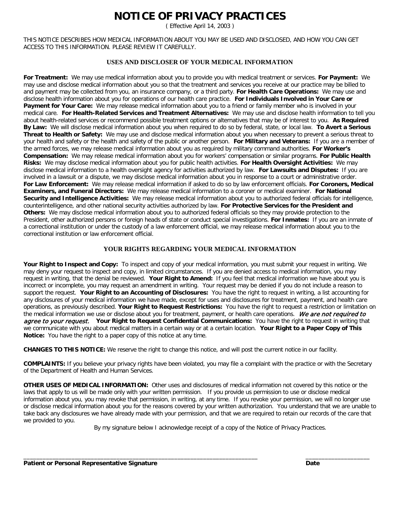# **NOTICE OF PRIVACY PRACTICES**

( Effective April 14, 2003 )

THIS NOTICE DESCRIBES HOW MEDICAL INFORMATION ABOUT YOU MAY BE USED AND DISCLOSED, AND HOW YOU CAN GET ACCESS TO THIS INFORMATION. PLEASE REVIEW IT CAREFULLY.

### **USES AND DISCLOSER OF YOUR MEDICAL INFORMATION**

**For Treatment:** We may use medical information about you to provide you with medical treatment or services. **For Payment:** We may use and disclose medical information about you so that the treatment and services you receive at our practice may be billed to and payment may be collected from you, an insurance company, or a third party. **For Health Care Operations:** We may use and disclose health information about you for operations of our health care practice. **For Individuals Involved in Your Care or Payment for Your Care:** We may release medical information about you to a friend or family member who is involved in your medical care. **For Health-Related Services and Treatment Alternatives:** We may use and disclose health information to tell you about health-related services or recommend possible treatment options or alternatives that may be of interest to you. **As Required By Law:** We will disclose medical information about you when required to do so by federal, state, or local law. **To Avert a Serious Threat to Health or Safety:** We may use and disclose medical information about you when necessary to prevent a serious threat to your health and safety or the health and safety of the public or another person. **For Military and Veterans:** If you are a member of the armed forces, we may release medical information about you as required by military command authorities. **For Worker's Compensation:** We may release medical information about you for workers' compensation or similar programs. **For Public Health Risks:** We may disclose medical information about you for public health activities. **For Health Oversight Activities:** We may disclose medical information to a health oversight agency for activities authorized by law. **For Lawsuits and Disputes:** If you are involved in a lawsuit or a dispute, we may disclose medical information about you in response to a court or administrative order. **For Law Enforcement:** We may release medical information if asked to do so by law enforcement officials. **For Coroners, Medical Examiners, and Funeral Directors:** We may release medical information to a coroner or medical examiner. **For National Security and Intelligence Activities:** We may release medical information about you to authorized federal officials for intelligence, counterintelligence, and other national security activities authorized by law. **For Protective Services for the President and Others:** We may disclose medical information about you to authorized federal officials so they may provide protection to the President, other authorized persons or foreign heads of state or conduct special investigations. **For Inmates:** If you are an inmate of a correctional institution or under the custody of a law enforcement official, we may release medical information about you to the correctional institution or law enforcement official.

### **YOUR RIGHTS REGARDING YOUR MEDICAL INFORMATION**

**Your Right to Inspect and Copy:** To inspect and copy of your medical information, you must submit your request in writing. We may deny your request to inspect and copy, in limited circumstances. If you are denied access to medical information, you may request in writing, that the denial be reviewed. **Your Right to Amend:** If you feel that medical information we have about you is incorrect or incomplete, you may request an amendment in writing. Your request may be denied if you do not include a reason to support the request. **Your Right to an Accounting of Disclosures:** You have the right to request in writing, a list accounting for any disclosures of your medical information we have made, except for uses and disclosures for treatment, payment, and health care operations, as previously described. **Your Right to Request Restrictions:** You have the right to request a restriction or limitation on the medical information we use or disclose about you for treatment, payment, or health care operations. We are not required to agree to your request. Your Right to Request Confidential Communications: You have the right to request in writing that we communicate with you about medical matters in a certain way or at a certain location. **Your Right to a Paper Copy of This Notice:** You have the right to a paper copy of this notice at any time.

**CHANGES TO THIS NOTICE:** We reserve the right to change this notice, and will post the current notice in our facility.

**COMPLAINTS:** If you believe your privacy rights have been violated, you may file a complaint with the practice or with the Secretary of the Department of Health and Human Services.

**OTHER USES OF MEDICAL INFORMATION:** Other uses and disclosures of medical information not covered by this notice or the laws that apply to us will be made only with your written permission. If you provide us permission to use or disclose medical information about you, you may revoke that permission, in writing, at any time. If you revoke your permission, we will no longer use or disclose medical information about you for the reasons covered by your written authorization. You understand that we are unable to take back any disclosures we have already made with your permission, and that we are required to retain our records of the care that we provided to you.

\_\_\_\_\_\_\_\_\_\_\_\_\_\_\_\_\_\_\_\_\_\_\_\_\_\_\_\_\_\_\_\_\_\_\_\_\_\_\_\_\_\_\_\_\_\_\_\_\_\_\_\_\_\_\_\_\_\_\_\_\_\_\_\_\_\_\_\_\_\_\_\_\_ \_\_\_\_\_\_\_\_\_\_\_\_\_\_\_\_\_\_\_\_

By my signature below I acknowledge receipt of a copy of the Notice of Privacy Practices.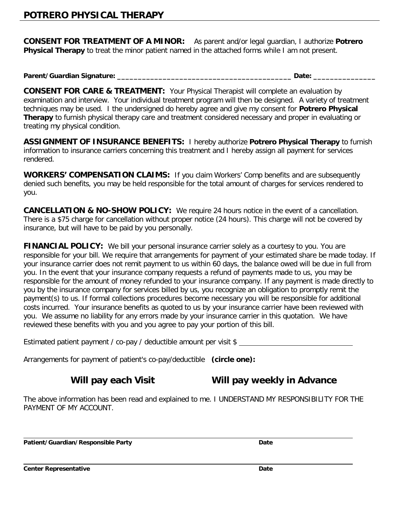## **POTRERO PHYSICAL THERAPY**

**CONSENT FOR TREATMENT OF A MINOR:** As parent and/or legal guardian, I authorize **Potrero Physical Therapy** to treat the minor patient named in the attached forms while I am not present.

**Parent/Guardian Signature: \_\_\_\_\_\_\_\_\_\_\_\_\_\_\_\_\_\_\_\_\_\_\_\_\_\_\_\_\_\_\_\_\_\_\_\_\_\_\_\_\_\_ Date: \_\_\_\_\_\_\_\_\_\_\_\_\_\_\_**

**CONSENT FOR CARE & TREATMENT:** Your Physical Therapist will complete an evaluation by examination and interview. Your individual treatment program will then be designed. A variety of treatment techniques may be used. I the undersigned do hereby agree and give my consent for **Potrero Physical Therapy** to furnish physical therapy care and treatment considered necessary and proper in evaluating or treating my physical condition.

**ASSIGNMENT OF INSURANCE BENEFITS:** I hereby authorize **Potrero Physical Therapy** to furnish information to insurance carriers concerning this treatment and I hereby assign all payment for services rendered.

**WORKERS' COMPENSATION CLAIMS:** If you claim Workers' Comp benefits and are subsequently denied such benefits, you may be held responsible for the total amount of charges for services rendered to you.

**CANCELLATION & NO-SHOW POLICY:** We require 24 hours notice in the event of a cancellation. There is a \$75 charge for cancellation without proper notice (24 hours). This charge will not be covered by insurance, but will have to be paid by you personally.

**FINANCIAL POLICY:** We bill your personal insurance carrier solely as a courtesy to you. You are responsible for your bill. We require that arrangements for payment of your estimated share be made today. If your insurance carrier does not remit payment to us within 60 days, the balance owed will be due in full from you. In the event that your insurance company requests a refund of payments made to us, you may be responsible for the amount of money refunded to your insurance company. If any payment is made directly to you by the insurance company for services billed by us, you recognize an obligation to promptly remit the payment(s) to us. If formal collections procedures become necessary you will be responsible for additional costs incurred. Your insurance benefits as quoted to us by your insurance carrier have been reviewed with you. We assume no liability for any errors made by your insurance carrier in this quotation. We have reviewed these benefits with you and you agree to pay your portion of this bill.

Estimated patient payment / co-pay / deductible amount per visit \$

Arrangements for payment of patient's co-pay/deductible **(circle one):**

Will pay each Visit **Will pay weekly in Advance** 

The above information has been read and explained to me. I UNDERSTAND MY RESPONSIBILITY FOR THE PAYMENT OF MY ACCOUNT.

Patient/Guardian/Responsible Party **Date** 

**Center Representative Date**

l

l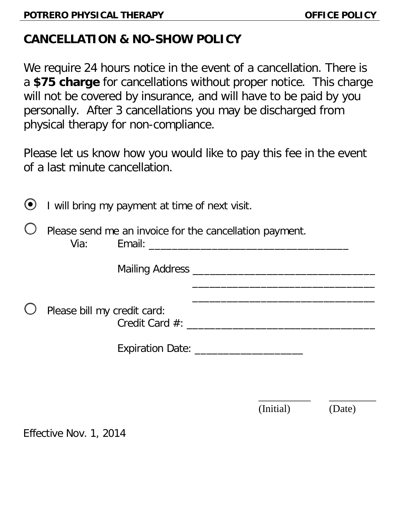# **CANCELLATION & NO-SHOW POLICY**

We require 24 hours notice in the event of a cancellation. There is a **\$75 charge** for cancellations without proper notice.This charge will not be covered by insurance, and will have to be paid by you personally. After 3 cancellations you may be discharged from physical therapy for non-compliance.

Please let us know how you would like to pay this fee in the event of a last minute cancellation.

 $\odot$  I will bring my payment at time of next visit.

 Please send me an invoice for the cancellation payment. Via: Email: \_\_\_\_\_\_\_\_\_\_\_\_\_\_\_\_\_\_\_\_\_\_\_\_\_\_\_\_\_\_\_\_\_\_\_

Mailing Address \_\_\_\_\_\_\_\_\_\_\_\_\_\_\_\_\_\_\_\_\_\_\_\_\_\_\_\_\_\_\_\_

 Please bill my credit card: Credit Card #: \_\_\_\_\_\_\_\_\_\_\_\_\_\_\_\_\_\_\_\_\_\_\_\_\_\_\_\_\_\_\_\_\_

Expiration Date: \_\_\_\_\_\_\_\_\_\_\_\_\_\_\_\_\_\_\_

 $\overline{\phantom{a}}$  ,  $\overline{\phantom{a}}$  ,  $\overline{\phantom{a}}$  ,  $\overline{\phantom{a}}$  ,  $\overline{\phantom{a}}$  ,  $\overline{\phantom{a}}$  ,  $\overline{\phantom{a}}$  ,  $\overline{\phantom{a}}$  ,  $\overline{\phantom{a}}$  ,  $\overline{\phantom{a}}$  ,  $\overline{\phantom{a}}$  ,  $\overline{\phantom{a}}$  ,  $\overline{\phantom{a}}$  ,  $\overline{\phantom{a}}$  ,  $\overline{\phantom{a}}$  ,  $\overline{\phantom{a}}$ 

 $\overline{\phantom{a}}$  ,  $\overline{\phantom{a}}$  ,  $\overline{\phantom{a}}$  ,  $\overline{\phantom{a}}$  ,  $\overline{\phantom{a}}$  ,  $\overline{\phantom{a}}$  ,  $\overline{\phantom{a}}$  ,  $\overline{\phantom{a}}$  ,  $\overline{\phantom{a}}$  ,  $\overline{\phantom{a}}$  ,  $\overline{\phantom{a}}$  ,  $\overline{\phantom{a}}$  ,  $\overline{\phantom{a}}$  ,  $\overline{\phantom{a}}$  ,  $\overline{\phantom{a}}$  ,  $\overline{\phantom{a}}$ 

 $\overline{\phantom{a}}$  , which is a set of the contract of the contract of the contract of the contract of the contract of the contract of the contract of the contract of the contract of the contract of the contract of the contract (Initial) (Date)

Effective Nov. 1, 2014